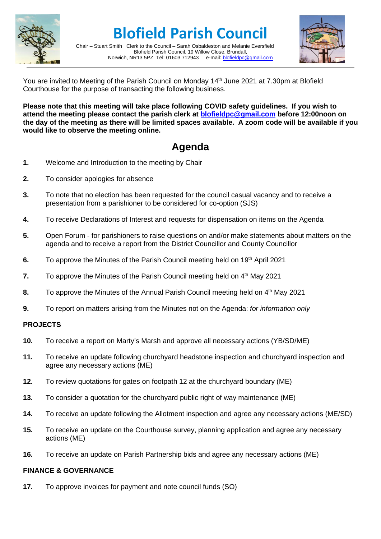

**Blofield Parish Council**

Chair – Stuart Smith Clerk to the Council – Sarah Osbaldeston and Melanie Eversfield Blofield Parish Council, 19 Willow Close, Brundall,<br>R13 5PZ Tel: 01603 712943 e-mail: blofieldoc@gmail.com Norwich, NR13 5PZ Tel: 01603 712943



You are invited to Meeting of the Parish Council on Monday 14<sup>th</sup> June 2021 at 7.30pm at Blofield Courthouse for the purpose of transacting the following business.

**Please note that this meeting will take place following COVID safety guidelines. If you wish to attend the meeting please contact the parish clerk at [blofieldpc@gmail.com](mailto:blofieldpc@gmail.com) before 12:00noon on the day of the meeting as there will be limited spaces available. A zoom code will be available if you would like to observe the meeting online.** 

## **Agenda**

- **1.** Welcome and Introduction to the meeting by Chair
- **2.** To consider apologies for absence
- **3.** To note that no election has been requested for the council casual vacancy and to receive a presentation from a parishioner to be considered for co-option (SJS)
- **4.** To receive Declarations of Interest and requests for dispensation on items on the Agenda
- **5.** Open Forum for parishioners to raise questions on and/or make statements about matters on the agenda and to receive a report from the District Councillor and County Councillor
- **6.** To approve the Minutes of the Parish Council meeting held on 19<sup>th</sup> April 2021
- **7.** To approve the Minutes of the Parish Council meeting held on 4<sup>th</sup> May 2021
- 8. To approve the Minutes of the Annual Parish Council meeting held on 4<sup>th</sup> May 2021
- **9.** To report on matters arising from the Minutes not on the Agenda: *for information only*

## **PROJECTS**

- **10.** To receive a report on Marty's Marsh and approve all necessary actions (YB/SD/ME)
- **11.** To receive an update following churchyard headstone inspection and churchyard inspection and agree any necessary actions (ME)
- **12.** To review quotations for gates on footpath 12 at the churchyard boundary (ME)
- **13.** To consider a quotation for the churchyard public right of way maintenance (ME)
- **14.** To receive an update following the Allotment inspection and agree any necessary actions (ME/SD)
- **15.** To receive an update on the Courthouse survey, planning application and agree any necessary actions (ME)
- **16.** To receive an update on Parish Partnership bids and agree any necessary actions (ME)

## **FINANCE & GOVERNANCE**

**17.** To approve invoices for payment and note council funds (SO)